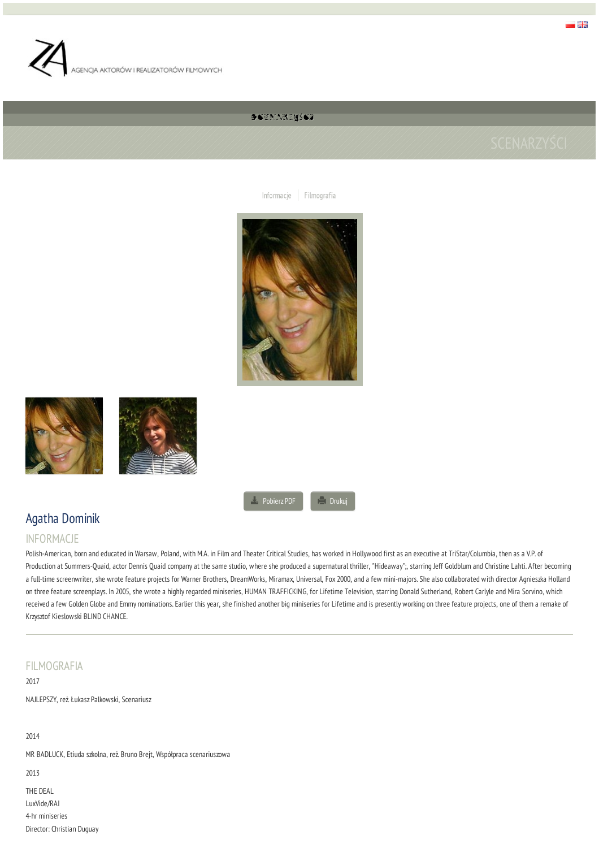

# SSEXNAZWŚCZ

Informacje | Filmografia







**[Pobierz](/people/scenarzysci/21/agatha-dominik/pdf) PDF COLLECT** [Drukuj](#)

# Agatha Dominik

# INFORMACJE

Polish-American, born and educated in Warsaw, Poland, with M.A. in Film and Theater Critical Studies, has worked in Hollywood first as an executive at TriStar/Columbia, then as a V.P. of Production at Summers-Quaid, actor Dennis Quaid company at the same studio, where she produced a supernatural thriller, "Hideaway";, starring Jeff Goldblum and Christine Lahti. After becoming a full-time screenwriter, she wrote feature projects for Warner Brothers, DreamWorks, Miramax, Universal, Fox 2000, and a few mini-majors. She also collaborated with director Agnieszka Holland on three feature screenplays. In 2005, she wrote a highly regarded miniseries, HUMAN TRAFFICKING, for Lifetime Television, starring Donald Sutherland, Robert Carlyle and Mira Sorvino, which received a few Golden Globe and Emmy nominations. Earlier this year, she finished another big miniseries for Lifetime and is presently working on three feature projects, one of them a remake of Krzysztof Kieslowski BLIND CHANCE.

# FILMOGRAFIA

2017 NAJLEPSZY, reż. Łukasz Palkowski, Scenariusz

# 2014

MR BADLUCK, Etiuda szkolna, reż. Bruno Brejt, Współpraca scenariuszowa

2013

THE DEAL LuxVide/RAI 4-hr miniseries Director: Christian Duguay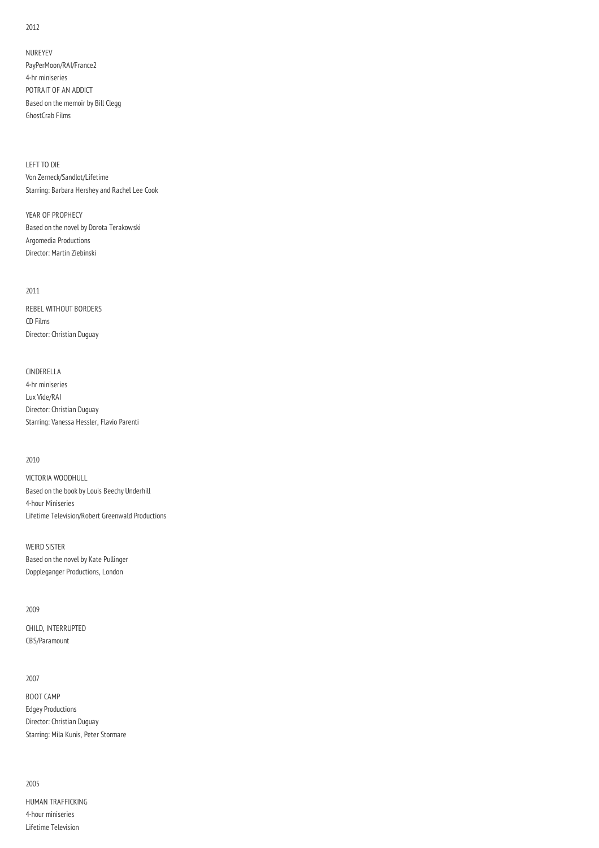2012

NUREYEV PayPerMoon/RAI/France2 4-hr miniseries POTRAIT OF AN ADDICT Based on the memoir by Bill Clegg GhostCrab Films

LEFT TO DIE Von Zerneck/Sandlot/Lifetime Starring: Barbara Hershey and Rachel Lee Cook

YEAR OF PROPHECY Based on the novel by Dorota Terakowski Argomedia Productions Director: Martin Ziebinski

#### 2011

REBEL WITHOUT BORDERS CD Films Director: Christian Duguay

## CINDERELLA

4-hr miniseries Lux Vide/RAI Director: Christian Duguay Starring: Vanessa Hessler, Flavio Parenti

#### 2010

VICTORIA WOODHULL Based on the book by Louis Beechy Underhill 4-hour Miniseries Lifetime Television/Robert Greenwald Productions

WEIRD SISTER

Based on the novel by Kate Pullinger Doppleganger Productions, London

### 2009

CHILD, INTERRUPTED CBS/Paramount

#### 2007

BOOT CAMP Edgey Productions Director: Christian Duguay Starring: Mila Kunis, Peter Stormare

#### 2005

HUMAN TRAFFICKING 4-hour miniseries Lifetime Television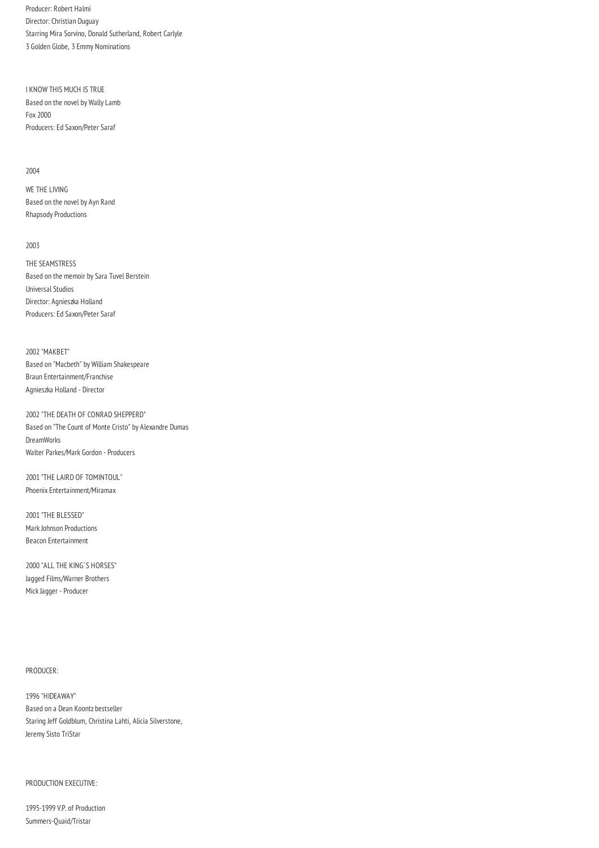Producer: Robert Halmi Director: Christian Duguay Starring Mira Sorvino, Donald Sutherland, Robert Carlyle 3 Golden Globe, 3 Emmy Nominations

I KNOW THIS MUCH IS TRUE Based on the novel by Wally Lamb Fox 2000 Producers: Ed Saxon/Peter Saraf

#### 2004

WE THE LIVING Based on the novel by Ayn Rand Rhapsody Productions

#### 2003

THE SEAMSTRESS Based on the memoir by Sara Tuvel Berstein Universal Studios Director: Agnieszka Holland Producers: Ed Saxon/Peter Saraf

2002 "MAKBET" Based on "Macbeth" by William Shakespeare Braun Entertainment/Franchise Agnieszka Holland - Director

2002 "THE DEATH OF CONRAD SHEPPERD" Based on "The Count of Monte Cristo" by Alexandre Dumas DreamWorks Walter Parkes/Mark Gordon - Producers

2001 "THE LAIRD OF TOMINTOUL" Phoenix Entertainment/Miramax

2001 "THE BLESSED" Mark Johnson Productions Beacon Entertainment

2000 "ALL THE KING`S HORSES" Jagged Films/Warner Brothers Mick Jagger - Producer

#### PRODUCER:

1996 "HIDEAWAY" Based on a Dean Koontz bestseller Staring Jeff Goldblum, Christina Lahti, Alicia Silverstone, Jeremy Sisto TriStar

#### PRODUCTION EXECUTIVE:

1995-1999 V.P. of Production Summers-Quaid/Tristar